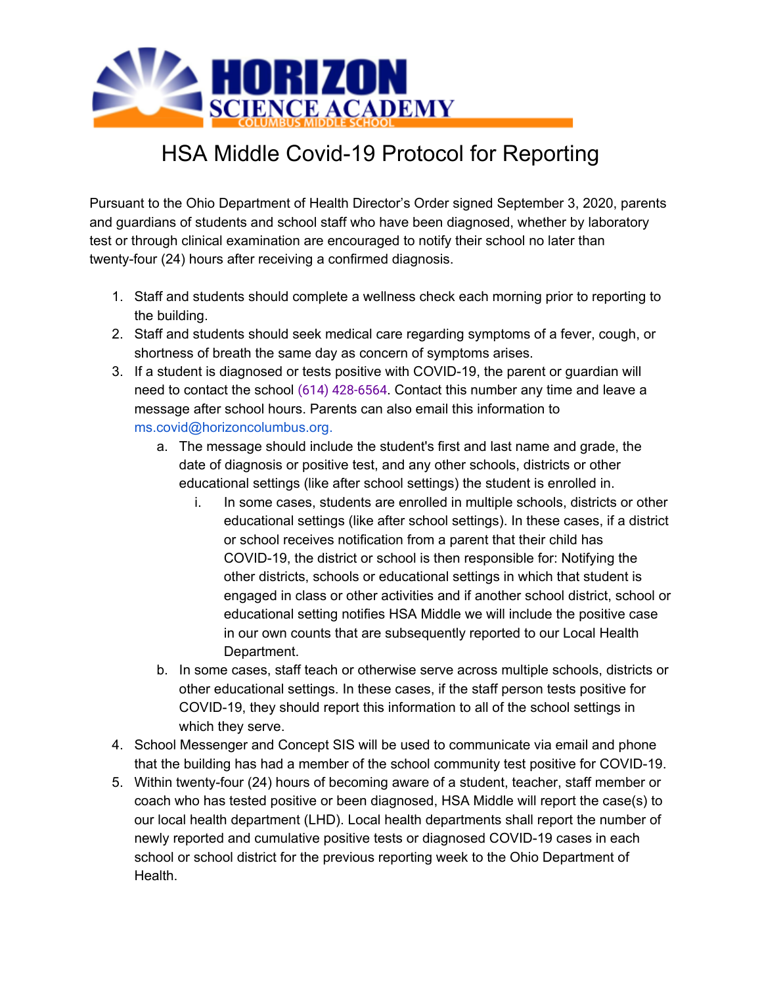

## HSA Middle Covid-19 Protocol for Reporting

Pursuant to the Ohio Department of Health Director's Order signed September 3, 2020, parents and guardians of students and school staff who have been diagnosed, whether by laboratory test or through clinical examination are encouraged to notify their school no later than twenty-four (24) hours after receiving a confirmed diagnosis.

- 1. Staff and students should complete a wellness check each morning prior to reporting to the building.
- 2. Staff and students should seek medical care regarding symptoms of a fever, cough, or shortness of breath the same day as concern of symptoms arises.
- 3. If a student is diagnosed or tests positive with COVID-19, the parent or guardian will need to contact the school [\(614\) 428-6564](https://www.google.com/search?ei=GdlYX-bQEMGF9PwP-KGQgAE&q=horizon+science+academy+middle+school&oq=horizon+science+academy+&gs_lcp=CgZwc3ktYWIQARgBMgQIABBDMgIIADICCAAyAggAMgIIADICCAAyAggAMgIIADICCAAyAggAOgcIABBHELADOgYIABAWEB46AggmUO4LWIsfYIsxaABwAHgAgAHxAYgBgQ2SAQUwLjEuN5gBAKABAaoBB2d3cy13aXrAAQE&sclient=psy-ab&safe=active&ssui=on#). Contact this number any time and leave a message after school hours. Parents can also email this information to ms.covid@horizoncolumbus.org.
	- a. The message should include the student's first and last name and grade, the date of diagnosis or positive test, and any other schools, districts or other educational settings (like after school settings) the student is enrolled in.
		- i. In some cases, students are enrolled in multiple schools, districts or other educational settings (like after school settings). In these cases, if a district or school receives notification from a parent that their child has COVID-19, the district or school is then responsible for: Notifying the other districts, schools or educational settings in which that student is engaged in class or other activities and if another school district, school or educational setting notifies HSA Middle we will include the positive case in our own counts that are subsequently reported to our Local Health Department.
	- b. In some cases, staff teach or otherwise serve across multiple schools, districts or other educational settings. In these cases, if the staff person tests positive for COVID-19, they should report this information to all of the school settings in which they serve.
- 4. School Messenger and Concept SIS will be used to communicate via email and phone that the building has had a member of the school community test positive for COVID-19.
- 5. Within twenty-four (24) hours of becoming aware of a student, teacher, staff member or coach who has tested positive or been diagnosed, HSA Middle will report the case(s) to our local health department (LHD). Local health departments shall report the number of newly reported and cumulative positive tests or diagnosed COVID-19 cases in each school or school district for the previous reporting week to the Ohio Department of Health.